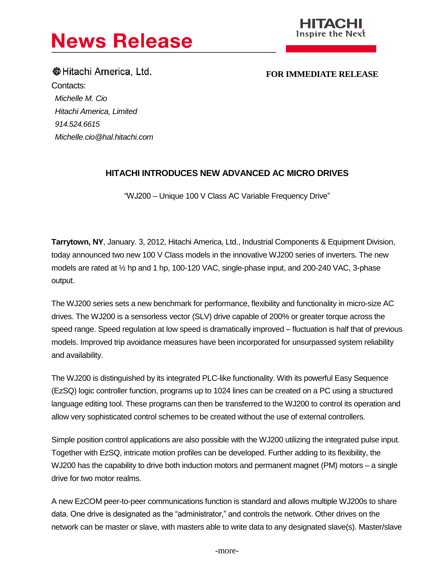



**Communist Example 1 FOR IMMEDIATE RELEASE** Contacts: *Michelle M. Cio Hitachi America, Limited 914.524.6615 Michelle.cio@hal.hitachi.com*

## **HITACHI INTRODUCES NEW ADVANCED AC MICRO DRIVES**

"WJ200 – Unique 100 V Class AC Variable Frequency Drive"

**Tarrytown, NY**, January. 3, 2012, Hitachi America, Ltd., Industrial Components & Equipment Division, today announced two new 100 V Class models in the innovative WJ200 series of inverters. The new models are rated at ½ hp and 1 hp, 100-120 VAC, single-phase input, and 200-240 VAC, 3-phase output.

The WJ200 series sets a new benchmark for performance, flexibility and functionality in micro-size AC drives. The WJ200 is a sensorless vector (SLV) drive capable of 200% or greater torque across the speed range. Speed regulation at low speed is dramatically improved – fluctuation is half that of previous models. Improved trip avoidance measures have been incorporated for unsurpassed system reliability and availability.

The WJ200 is distinguished by its integrated PLC-like functionality. With its powerful Easy Sequence (EzSQ) logic controller function, programs up to 1024 lines can be created on a PC using a structured language editing tool. These programs can then be transferred to the WJ200 to control its operation and allow very sophisticated control schemes to be created without the use of external controllers.

Simple position control applications are also possible with the WJ200 utilizing the integrated pulse input. Together with EzSQ, intricate motion profiles can be developed. Further adding to its flexibility, the WJ200 has the capability to drive both induction motors and permanent magnet (PM) motors – a single drive for two motor realms.

A new EzCOM peer-to-peer communications function is standard and allows multiple WJ200s to share data. One drive is designated as the "administrator," and controls the network. Other drives on the network can be master or slave, with masters able to write data to any designated slave(s). Master/slave